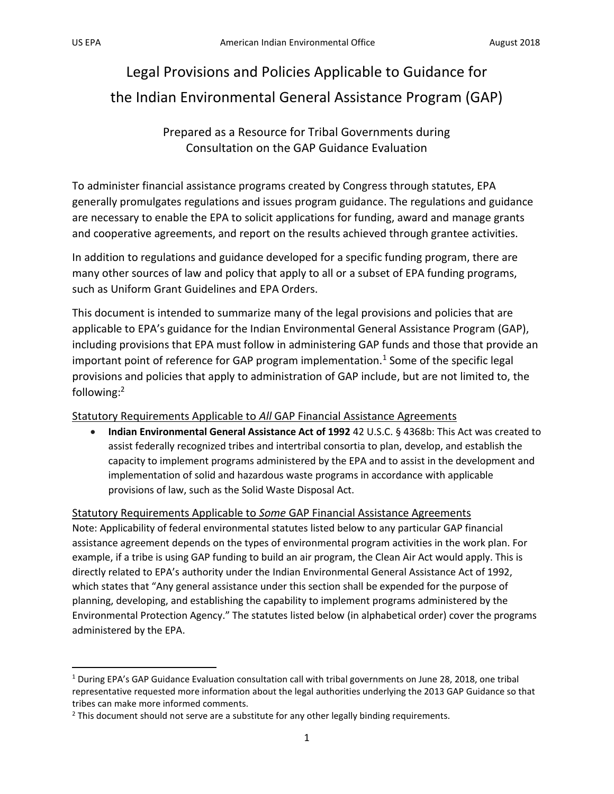l

# Legal Provisions and Policies Applicable to Guidance for the Indian Environmental General Assistance Program (GAP)

Prepared as a Resource for Tribal Governments during Consultation on the GAP Guidance Evaluation

To administer financial assistance programs created by Congress through statutes, EPA generally promulgates regulations and issues program guidance. The regulations and guidance are necessary to enable the EPA to solicit applications for funding, award and manage grants and cooperative agreements, and report on the results achieved through grantee activities.

In addition to regulations and guidance developed for a specific funding program, there are many other sources of law and policy that apply to all or a subset of EPA funding programs, such as Uniform Grant Guidelines and EPA Orders.

This document is intended to summarize many of the legal provisions and policies that are applicable to EPA's guidance for the Indian Environmental General Assistance Program (GAP), including provisions that EPA must follow in administering GAP funds and those that provide an important point of reference for GAP program implementation.<sup>1</sup> Some of the specific legal provisions and policies that apply to administration of GAP include, but are not limited to, the following:<sup>2</sup>

## Statutory Requirements Applicable to *All* GAP Financial Assistance Agreements

• **Indian Environmental General Assistance Act of 1992** 42 U.S.C. § 4368b: This Act was created to assist federally recognized tribes and intertribal consortia to plan, develop, and establish the capacity to implement programs administered by the EPA and to assist in the development and implementation of solid and hazardous waste programs in accordance with applicable provisions of law, such as the Solid Waste Disposal Act.

## Statutory Requirements Applicable to *Some* GAP Financial Assistance Agreements

Note: Applicability of federal environmental statutes listed below to any particular GAP financial assistance agreement depends on the types of environmental program activities in the work plan. For example, if a tribe is using GAP funding to build an air program, the Clean Air Act would apply. This is directly related to EPA's authority under the Indian Environmental General Assistance Act of 1992, which states that "Any general assistance under this section shall be expended for the purpose of planning, developing, and establishing the capability to implement programs administered by the Environmental Protection Agency." The statutes listed below (in alphabetical order) cover the programs administered by the EPA.

<sup>1</sup> During EPA's GAP Guidance Evaluation consultation call with tribal governments on June 28, 2018, one tribal representative requested more information about the legal authorities underlying the 2013 GAP Guidance so that tribes can make more informed comments.

 $2$  This document should not serve are a substitute for any other legally binding requirements.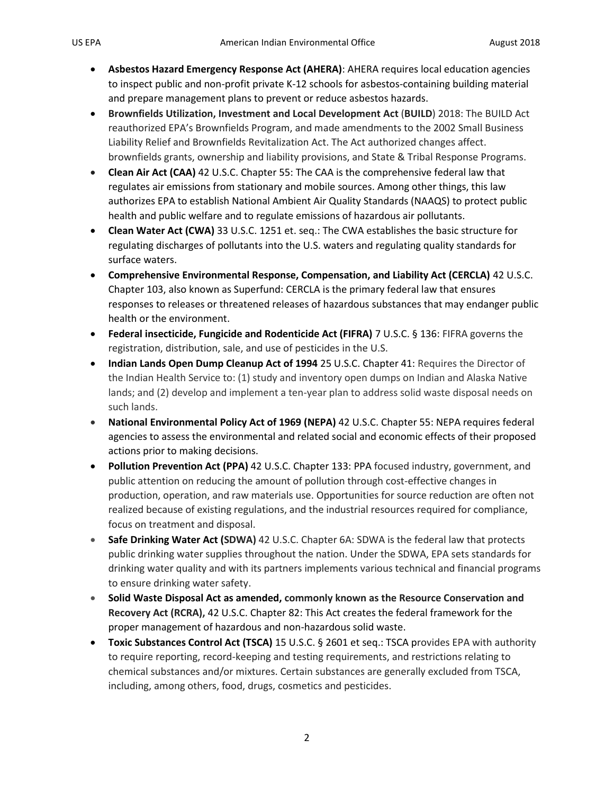- **Asbestos Hazard Emergency Response Act (AHERA)**: AHERA requires local education agencies to inspect public and non-profit private K-12 schools for asbestos-containing building material and prepare management plans to prevent or reduce asbestos hazards.
- **Brownfields Utilization, Investment and Local Development Act** (**BUILD**) 2018: The BUILD Act reauthorized EPA's Brownfields Program, and made amendments to the 2002 Small Business Liability Relief and Brownfields Revitalization Act. The Act authorized changes affect. brownfields grants, ownership and liability provisions, and State & Tribal Response Programs.
- **Clean Air Act (CAA)** 42 U.S.C. Chapter 55: The CAA is the comprehensive federal law that regulates air emissions from stationary and mobile sources. Among other things, this law authorizes EPA to establish National Ambient Air Quality Standards (NAAQS) to protect public health and public welfare and to regulate emissions of hazardous air pollutants.
- **Clean Water Act (CWA)** 33 U.S.C. 1251 et. seq.: The CWA establishes the basic structure for regulating discharges of pollutants into the U.S. waters and regulating quality standards for surface waters.
- **Comprehensive Environmental Response, Compensation, and Liability Act (CERCLA)** 42 U.S.C. Chapter 103, also known as Superfund: CERCLA is the primary federal law that ensures responses to releases or threatened releases of hazardous substances that may endanger public health or the environment.
- **Federal insecticide, Fungicide and Rodenticide Act (FIFRA)** 7 U.S.C. § 136: FIFRA governs the registration, distribution, sale, and use of pesticides in the U.S.
- **Indian Lands Open Dump Cleanup Act of 1994** 25 U.S.C. Chapter 41: Requires the Director of the Indian Health Service to: (1) study and inventory open dumps on Indian and Alaska Native lands; and (2) develop and implement a ten-year plan to address solid waste disposal needs on such lands.
- **National Environmental Policy Act of 1969 (NEPA)** 42 U.S.C. Chapter 55: NEPA requires federal agencies to assess the environmental and related social and economic effects of their proposed actions prior to making decisions.
- **Pollution Prevention Act (PPA)** 42 U.S.C. Chapter 133: PPA focused industry, government, and public attention on reducing the amount of pollution through cost-effective changes in production, operation, and raw materials use. Opportunities for source reduction are often not realized because of existing regulations, and the industrial resources required for compliance, focus on treatment and disposal.
- **Safe Drinking Water Act (SDWA)** 42 U.S.C. Chapter 6A: SDWA is the federal law that protects public drinking water supplies throughout the nation. Under the SDWA, EPA sets standards for drinking water quality and with its partners implements various technical and financial programs to ensure drinking water safety.
- **Solid Waste Disposal Act as amended, commonly known as the Resource Conservation and Recovery Act (RCRA),** 42 U.S.C. Chapter 82: This Act creates the federal framework for the proper management of hazardous and non-hazardous solid waste.
- **Toxic Substances Control Act (TSCA)** 15 U.S.C. § 2601 et seq.: TSCA provides EPA with authority to require reporting, record-keeping and testing requirements, and restrictions relating to chemical substances and/or mixtures. Certain substances are generally excluded from TSCA, including, among others, food, drugs, cosmetics and pesticides.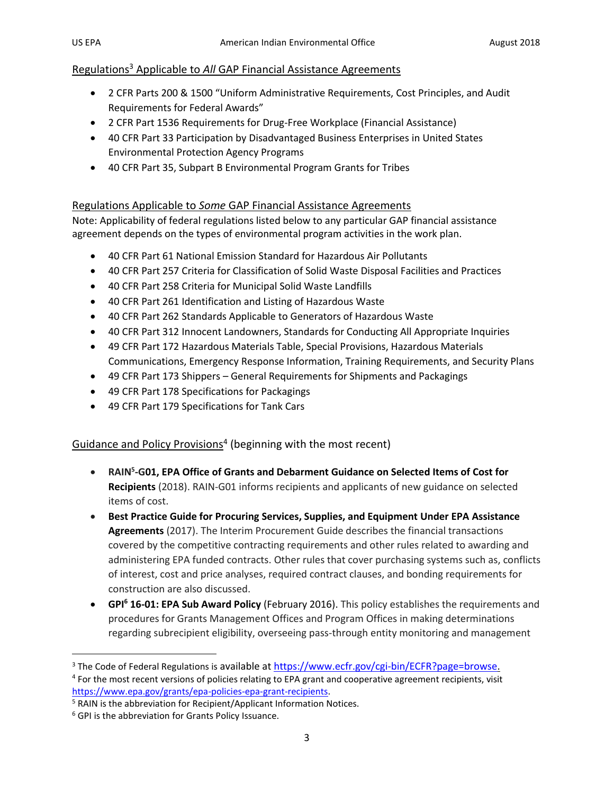## Regulations<sup>3</sup> Applicable to *All* GAP Financial Assistance Agreements

- 2 CFR Parts 200 & 1500 "Uniform Administrative Requirements, Cost Principles, and Audit Requirements for Federal Awards"
- 2 CFR Part 1536 Requirements for Drug-Free Workplace (Financial Assistance)
- 40 CFR Part 33 Participation by Disadvantaged Business Enterprises in United States Environmental Protection Agency Programs
- 40 CFR Part 35, Subpart B Environmental Program Grants for Tribes

## Regulations Applicable to *Some* GAP Financial Assistance Agreements

Note: Applicability of federal regulations listed below to any particular GAP financial assistance agreement depends on the types of environmental program activities in the work plan.

- 40 CFR Part 61 National Emission Standard for Hazardous Air Pollutants
- 40 CFR Part 257 Criteria for Classification of Solid Waste Disposal Facilities and Practices
- 40 CFR Part 258 Criteria for Municipal Solid Waste Landfills
- 40 CFR Part 261 Identification and Listing of Hazardous Waste
- 40 CFR Part 262 Standards Applicable to Generators of Hazardous Waste
- 40 CFR Part 312 Innocent Landowners, Standards for Conducting All Appropriate Inquiries
- 49 CFR Part 172 Hazardous Materials Table, Special Provisions, Hazardous Materials Communications, Emergency Response Information, Training Requirements, and Security Plans
- 49 CFR Part 173 Shippers General Requirements for Shipments and Packagings
- 49 CFR Part 178 Specifications for Packagings
- 49 CFR Part 179 Specifications for Tank Cars

Guidance and Policy Provisions<sup>4</sup> (beginning with the most recent)

- **RAIN<sup>5</sup>-G01, EPA Office of Grants and Debarment Guidance on Selected Items of Cost for [Recipients](https://www.epa.gov/grants/rain-2018-g01)** (2018). RAIN-G01 informs recipients and applicants of new guidance on selected items of cost.
- **[Best Practice Guide for Procuring Services, Supplies, and Equipment Under EPA Assistance](https://www.epa.gov/grants/best-practice-guide-procuring-services-supplies-and-equipment-under-epa-assistance-agreements)  [Agreements](https://www.epa.gov/grants/best-practice-guide-procuring-services-supplies-and-equipment-under-epa-assistance-agreements)** (2017). The Interim Procurement Guide describes the financial transactions covered by the competitive contracting requirements and other rules related to awarding and administering EPA funded contracts. Other rules that cover purchasing systems such as, conflicts of interest, cost and price analyses, required contract clauses, and bonding requirements for construction are also discussed.
- **GPI<sup>6</sup> 16-01: EPA Sub Award Policy** (February 2016). This policy establishes the requirements and procedures for Grants Management Offices and Program Offices in making determinations regarding subrecipient eligibility, overseeing pass-through entity monitoring and management

 $\overline{\phantom{a}}$ 

<sup>&</sup>lt;sup>3</sup> The Code of Federal Regulations is available at [https://www.ecfr.gov/cgi-bin/ECFR?page=browse.](https://www.ecfr.gov/cgi-bin/ECFR?page=browse)

<sup>&</sup>lt;sup>4</sup> For the most recent versions of policies relating to EPA grant and cooperative agreement recipients, visit [https://www.epa.gov/grants/epa-policies-epa-grant-recipients.](https://www.epa.gov/grants/epa-policies-epa-grant-recipients)

<sup>&</sup>lt;sup>5</sup> RAIN is the abbreviation for Recipient/Applicant Information Notices.

<sup>&</sup>lt;sup>6</sup> GPI is the abbreviation for Grants Policy Issuance.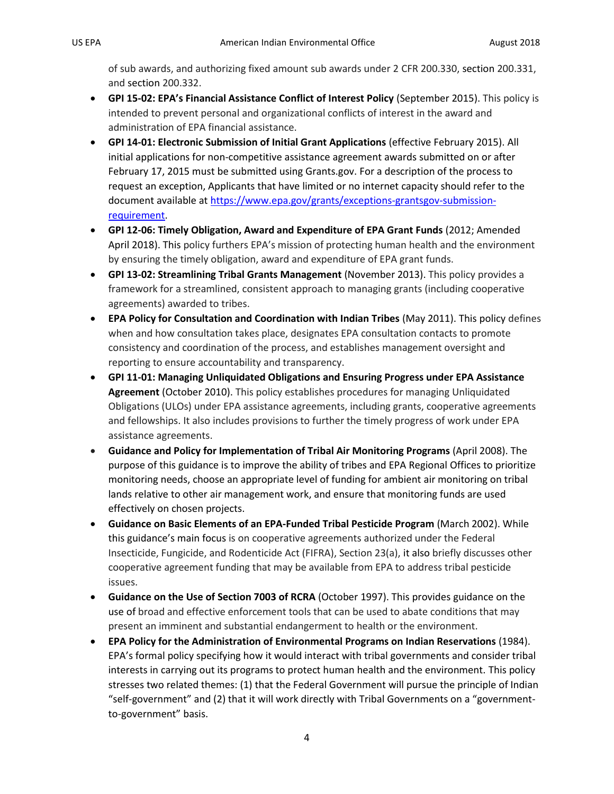of sub awards, and authorizing fixed amount sub awards under 2 CFR 200.330, section 200.331, and section 200.332.

- **GPI 15-02: EPA's Financial Assistance Conflict of Interest Policy** (September 2015). This policy is intended to prevent personal and organizational conflicts of interest in the award and administration of EPA financial assistance.
- **GPI 14-01: Electronic Submission of Initial Grant Applications** (effective February 2015). All initial applications for non-competitive assistance agreement awards submitted on or after February 17, 2015 must be submitted using Grants.gov. For a description of the process to request an exception, Applicants that have limited or no internet capacity should refer to the document available at [https://www.epa.gov/grants/exceptions-grantsgov-submission](https://www.epa.gov/grants/exceptions-grantsgov-submission-requirement)[requirement.](https://www.epa.gov/grants/exceptions-grantsgov-submission-requirement)
- **GPI 12-06: Timely Obligation, Award and Expenditure of EPA Grant Funds** (2012; Amended April 2018). This policy furthers EPA's mission of protecting human health and the environment by ensuring the timely obligation, award and expenditure of EPA grant funds.
- **GPI 13-02: Streamlining Tribal Grants Management** (November 2013). This policy provides a framework for a streamlined, consistent approach to managing grants (including cooperative agreements) awarded to tribes.
- **EPA Policy for Consultation and Coordination with Indian Tribes** (May 2011). This policy defines when and how consultation takes place, designates EPA consultation contacts to promote consistency and coordination of the process, and establishes management oversight and reporting to ensure accountability and transparency.
- **GPI 11-01: Managing Unliquidated Obligations and Ensuring Progress under EPA Assistance Agreement** (October 2010). This policy establishes procedures for managing Unliquidated Obligations (ULOs) under EPA assistance agreements, including grants, cooperative agreements and fellowships. It also includes provisions to further the timely progress of work under EPA assistance agreements.
- **Guidance and Policy for Implementation of Tribal Air Monitoring Programs** (April 2008). The purpose of this guidance is to improve the ability of tribes and EPA Regional Offices to prioritize monitoring needs, choose an appropriate level of funding for ambient air monitoring on tribal lands relative to other air management work, and ensure that monitoring funds are used effectively on chosen projects.
- **Guidance on Basic Elements of an EPA-Funded Tribal Pesticide Program** (March 2002). While this guidance's main focus is on cooperative agreements authorized under the Federal Insecticide, Fungicide, and Rodenticide Act (FIFRA), Section 23(a), it also briefly discusses other cooperative agreement funding that may be available from EPA to address tribal pesticide issues.
- **Guidance on the Use of Section 7003 of RCRA** (October 1997). This provides guidance on the use of broad and effective enforcement tools that can be used to abate conditions that may present an imminent and substantial endangerment to health or the environment.
- **EPA Policy for the Administration of Environmental Programs on Indian Reservations** (1984). EPA's formal policy specifying how it would interact with tribal governments and consider tribal interests in carrying out its programs to protect human health and the environment. This policy stresses two related themes: (1) that the Federal Government will pursue the principle of Indian "self-government" and (2) that it will work directly with Tribal Governments on a "governmentto-government" basis.